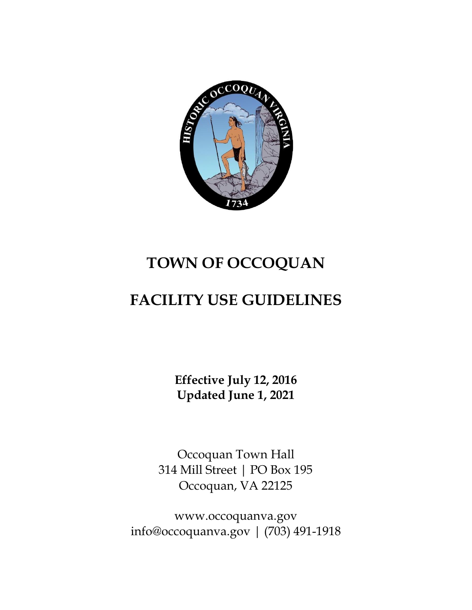

# **TOWN OF OCCOQUAN**

## **FACILITY USE GUIDELINES**

**Effective July 12, 2016 Updated June 1, 2021**

Occoquan Town Hall 314 Mill Street | PO Box 195 Occoquan, VA 22125

[www.occoquanva.gov](http://www.occoquanva.gov/) [info@occoquanva.gov](mailto:info@occoquanva.gov) | (703) 491-1918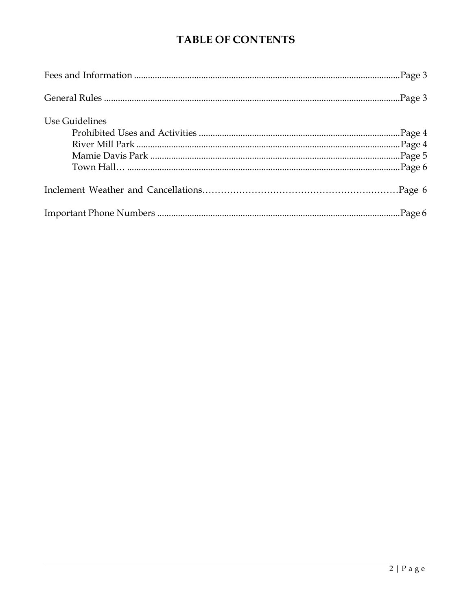### **TABLE OF CONTENTS**

| Use Guidelines |  |
|----------------|--|
|                |  |
|                |  |
|                |  |
|                |  |
|                |  |
|                |  |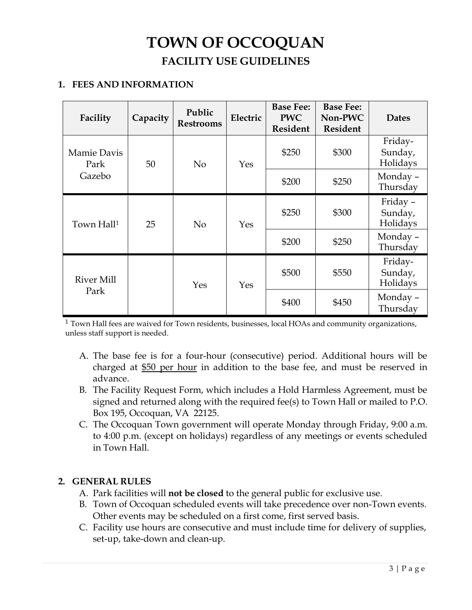### **TOWN OF OCCOQUAN FACILITY USE GUIDELINES**

#### **1. FEES AND INFORMATION**

| Facility                      | Capacity | Public<br><b>Restrooms</b> | Electric | <b>Base Fee:</b><br><b>PWC</b><br><b>Resident</b> | <b>Base Fee:</b><br>Non-PWC<br><b>Resident</b> | <b>Dates</b>                   |
|-------------------------------|----------|----------------------------|----------|---------------------------------------------------|------------------------------------------------|--------------------------------|
| Mamie Davis<br>Park<br>Gazebo | 50       | N <sub>o</sub>             | Yes      | \$250                                             | \$300                                          | Friday-<br>Sunday,<br>Holidays |
|                               |          |                            |          | \$200                                             | \$250                                          | Monday -<br>Thursday           |
| Town Hall <sup>1</sup>        | 25       | No                         | Yes      | \$250                                             | \$300                                          | Friday-<br>Sunday,<br>Holidays |
|                               |          |                            |          | \$200                                             | \$250                                          | Monday-<br>Thursday            |
| <b>River Mill</b><br>Park     |          | Yes                        | Yes      | \$500                                             | \$550                                          | Friday-<br>Sunday,<br>Holidays |
|                               |          |                            |          | \$400                                             | \$450                                          | Monday -<br>Thursday           |

<sup>1</sup> Town Hall fees are waived for Town residents, businesses, local HOAs and community organizations, unless staff support is needed.

- A. The base fee is for a four-hour (consecutive) period. Additional hours will be charged at \$50 per hour in addition to the base fee, and must be reserved in advance.
- B. The Facility Request Form, which includes a Hold Harmless Agreement, must be signed and returned along with the required fee(s) to Town Hall or mailed to P.O. Box 195, Occoquan, VA 22125.
- C. The Occoquan Town government will operate Monday through Friday, 9:00 a.m. to 4:00 p.m. (except on holidays) regardless of any meetings or events scheduled in Town Hall.

#### **2. GENERAL RULES**

- A. Park facilities will **not be closed** to the general public for exclusive use.
- B. Town of Occoquan scheduled events will take precedence over non-Town events. Other events may be scheduled on a first come, first served basis.
- C. Facility use hours are consecutive and must include time for delivery of supplies, set-up, take-down and clean-up.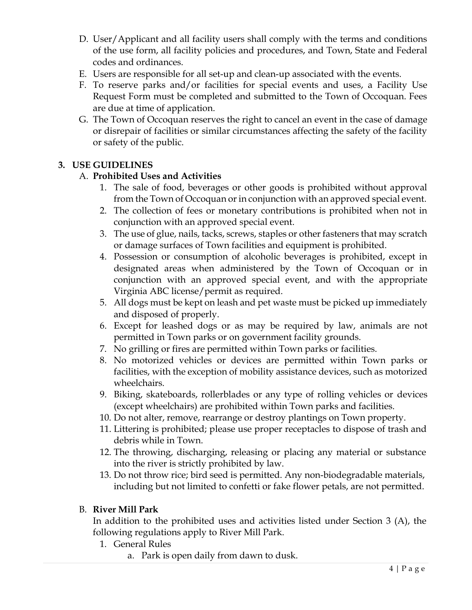- D. User/Applicant and all facility users shall comply with the terms and conditions of the use form, all facility policies and procedures, and Town, State and Federal codes and ordinances.
- E. Users are responsible for all set-up and clean-up associated with the events.
- F. To reserve parks and/or facilities for special events and uses, a Facility Use Request Form must be completed and submitted to the Town of Occoquan. Fees are due at time of application.
- G. The Town of Occoquan reserves the right to cancel an event in the case of damage or disrepair of facilities or similar circumstances affecting the safety of the facility or safety of the public.

#### **3. USE GUIDELINES**

#### A. **Prohibited Uses and Activities**

- 1. The sale of food, beverages or other goods is prohibited without approval from the Town of Occoquan or in conjunction with an approved special event.
- 2. The collection of fees or monetary contributions is prohibited when not in conjunction with an approved special event.
- 3. The use of glue, nails, tacks, screws, staples or other fasteners that may scratch or damage surfaces of Town facilities and equipment is prohibited.
- 4. Possession or consumption of alcoholic beverages is prohibited, except in designated areas when administered by the Town of Occoquan or in conjunction with an approved special event, and with the appropriate Virginia ABC license/permit as required.
- 5. All dogs must be kept on leash and pet waste must be picked up immediately and disposed of properly.
- 6. Except for leashed dogs or as may be required by law, animals are not permitted in Town parks or on government facility grounds.
- 7. No grilling or fires are permitted within Town parks or facilities.
- 8. No motorized vehicles or devices are permitted within Town parks or facilities, with the exception of mobility assistance devices, such as motorized wheelchairs.
- 9. Biking, skateboards, rollerblades or any type of rolling vehicles or devices (except wheelchairs) are prohibited within Town parks and facilities.
- 10. Do not alter, remove, rearrange or destroy plantings on Town property.
- 11. Littering is prohibited; please use proper receptacles to dispose of trash and debris while in Town.
- 12. The throwing, discharging, releasing or placing any material or substance into the river is strictly prohibited by law.
- 13. Do not throw rice; bird seed is permitted. Any non-biodegradable materials, including but not limited to confetti or fake flower petals, are not permitted.

#### B. **River Mill Park**

In addition to the prohibited uses and activities listed under Section 3 (A), the following regulations apply to River Mill Park.

- 1. General Rules
	- a. Park is open daily from dawn to dusk.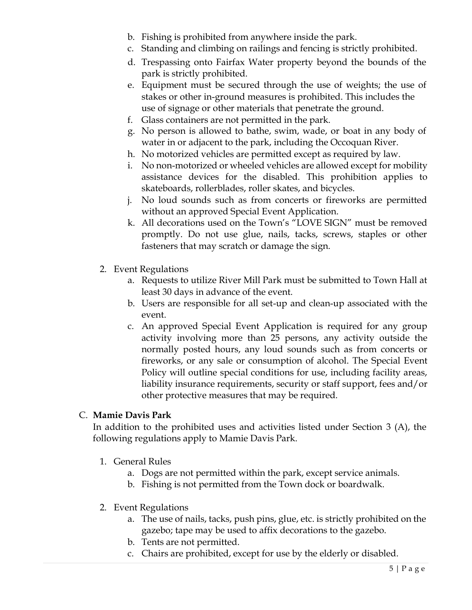- b. Fishing is prohibited from anywhere inside the park.
- c. Standing and climbing on railings and fencing is strictly prohibited.
- d. Trespassing onto Fairfax Water property beyond the bounds of the park is strictly prohibited.
- e. Equipment must be secured through the use of weights; the use of stakes or other in-ground measures is prohibited. This includes the use of signage or other materials that penetrate the ground.
- f. Glass containers are not permitted in the park.
- g. No person is allowed to bathe, swim, wade, or boat in any body of water in or adjacent to the park, including the Occoquan River.
- h. No motorized vehicles are permitted except as required by law.
- i. No non-motorized or wheeled vehicles are allowed except for mobility assistance devices for the disabled. This prohibition applies to skateboards, rollerblades, roller skates, and bicycles.
- j. No loud sounds such as from concerts or fireworks are permitted without an approved Special Event Application.
- k. All decorations used on the Town's "LOVE SIGN" must be removed promptly. Do not use glue, nails, tacks, screws, staples or other fasteners that may scratch or damage the sign.
- 2. Event Regulations
	- a. Requests to utilize River Mill Park must be submitted to Town Hall at least 30 days in advance of the event.
	- b. Users are responsible for all set-up and clean-up associated with the event.
	- c. An approved Special Event Application is required for any group activity involving more than 25 persons, any activity outside the normally posted hours, any loud sounds such as from concerts or fireworks, or any sale or consumption of alcohol. The Special Event Policy will outline special conditions for use, including facility areas, liability insurance requirements, security or staff support, fees and/or other protective measures that may be required.

#### C. **Mamie Davis Park**

In addition to the prohibited uses and activities listed under Section 3 (A), the following regulations apply to Mamie Davis Park.

- 1. General Rules
	- a. Dogs are not permitted within the park, except service animals.
	- b. Fishing is not permitted from the Town dock or boardwalk.
- 2. Event Regulations
	- a. The use of nails, tacks, push pins, glue, etc. is strictly prohibited on the gazebo; tape may be used to affix decorations to the gazebo.
	- b. Tents are not permitted.
	- c. Chairs are prohibited, except for use by the elderly or disabled.